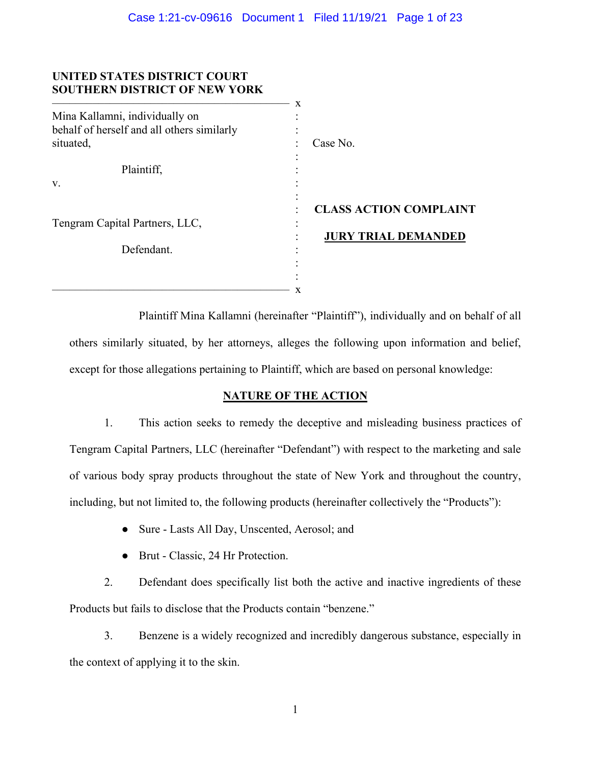# **UNITED STATES DISTRICT COURT SOUTHERN DISTRICT OF NEW YORK**

|                                            | X                             |
|--------------------------------------------|-------------------------------|
| Mina Kallamni, individually on             |                               |
| behalf of herself and all others similarly |                               |
| situated,                                  | Case No.                      |
|                                            |                               |
| Plaintiff,                                 |                               |
| V.                                         |                               |
|                                            | <b>CLASS ACTION COMPLAINT</b> |
| Tengram Capital Partners, LLC,             |                               |
|                                            | <b>JURY TRIAL DEMANDED</b>    |
| Defendant.                                 |                               |
|                                            |                               |
|                                            |                               |
|                                            | x                             |

Plaintiff Mina Kallamni (hereinafter "Plaintiff"), individually and on behalf of all others similarly situated, by her attorneys, alleges the following upon information and belief, except for those allegations pertaining to Plaintiff, which are based on personal knowledge:

# **NATURE OF THE ACTION**

1. This action seeks to remedy the deceptive and misleading business practices of Tengram Capital Partners, LLC (hereinafter "Defendant") with respect to the marketing and sale of various body spray products throughout the state of New York and throughout the country, including, but not limited to, the following products (hereinafter collectively the "Products"):

- Sure Lasts All Day, Unscented, Aerosol; and
- Brut Classic, 24 Hr Protection.

2. Defendant does specifically list both the active and inactive ingredients of these Products but fails to disclose that the Products contain "benzene."

3. Benzene is a widely recognized and incredibly dangerous substance, especially in the context of applying it to the skin.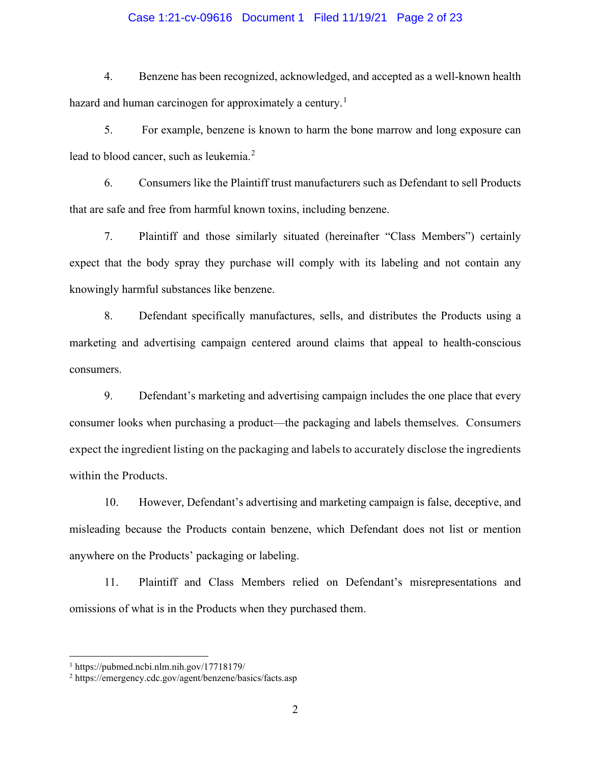### Case 1:21-cv-09616 Document 1 Filed 11/19/21 Page 2 of 23

4. Benzene has been recognized, acknowledged, and accepted as a well-known health hazard and human carcinogen for approximately a century.<sup>[1](#page-1-0)</sup>

5. For example, benzene is known to harm the bone marrow and long exposure can lead to blood cancer, such as leukemia.<sup>[2](#page-1-1)</sup>

6. Consumers like the Plaintiff trust manufacturers such as Defendant to sell Products that are safe and free from harmful known toxins, including benzene.

7. Plaintiff and those similarly situated (hereinafter "Class Members") certainly expect that the body spray they purchase will comply with its labeling and not contain any knowingly harmful substances like benzene.

8. Defendant specifically manufactures, sells, and distributes the Products using a marketing and advertising campaign centered around claims that appeal to health-conscious consumers.

9. Defendant's marketing and advertising campaign includes the one place that every consumer looks when purchasing a product—the packaging and labels themselves. Consumers expect the ingredient listing on the packaging and labels to accurately disclose the ingredients within the Products.

10. However, Defendant's advertising and marketing campaign is false, deceptive, and misleading because the Products contain benzene, which Defendant does not list or mention anywhere on the Products' packaging or labeling.

11. Plaintiff and Class Members relied on Defendant's misrepresentations and omissions of what is in the Products when they purchased them.

<span id="page-1-0"></span> $1 \text{ https://pubmed.ncbi.nlm.nih.gov/17718179/}$ 

<span id="page-1-1"></span><sup>2</sup> https://emergency.cdc.gov/agent/benzene/basics/facts.asp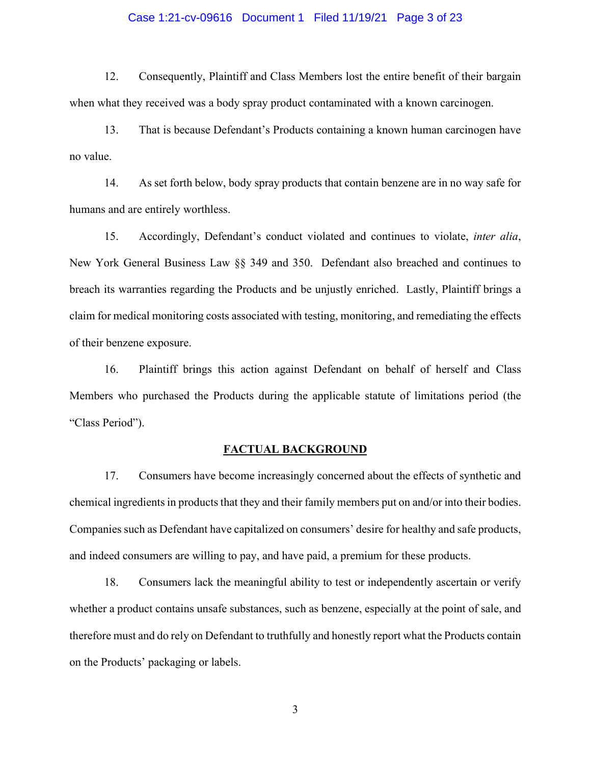#### Case 1:21-cv-09616 Document 1 Filed 11/19/21 Page 3 of 23

12. Consequently, Plaintiff and Class Members lost the entire benefit of their bargain when what they received was a body spray product contaminated with a known carcinogen.

13. That is because Defendant's Products containing a known human carcinogen have no value.

14. As set forth below, body spray products that contain benzene are in no way safe for humans and are entirely worthless.

15. Accordingly, Defendant's conduct violated and continues to violate, *inter alia*, New York General Business Law §§ 349 and 350. Defendant also breached and continues to breach its warranties regarding the Products and be unjustly enriched. Lastly, Plaintiff brings a claim for medical monitoring costs associated with testing, monitoring, and remediating the effects of their benzene exposure.

16. Plaintiff brings this action against Defendant on behalf of herself and Class Members who purchased the Products during the applicable statute of limitations period (the "Class Period").

#### **FACTUAL BACKGROUND**

17. Consumers have become increasingly concerned about the effects of synthetic and chemical ingredients in products that they and their family members put on and/or into their bodies. Companies such as Defendant have capitalized on consumers' desire for healthy and safe products, and indeed consumers are willing to pay, and have paid, a premium for these products.

18. Consumers lack the meaningful ability to test or independently ascertain or verify whether a product contains unsafe substances, such as benzene, especially at the point of sale, and therefore must and do rely on Defendant to truthfully and honestly report what the Products contain on the Products' packaging or labels.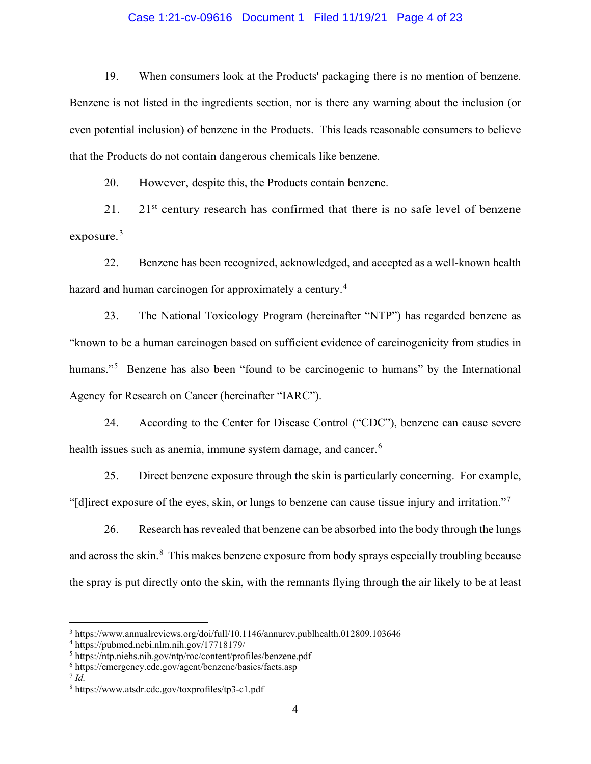### Case 1:21-cv-09616 Document 1 Filed 11/19/21 Page 4 of 23

19. When consumers look at the Products' packaging there is no mention of benzene. Benzene is not listed in the ingredients section, nor is there any warning about the inclusion (or even potential inclusion) of benzene in the Products. This leads reasonable consumers to believe that the Products do not contain dangerous chemicals like benzene.

20. However, despite this, the Products contain benzene.

 $21.$  21st century research has confirmed that there is no safe level of benzene exposure. $3$ 

22. Benzene has been recognized, acknowledged, and accepted as a well-known health hazard and human carcinogen for approximately a century.<sup>[4](#page-3-1)</sup>

23. The National Toxicology Program (hereinafter "NTP") has regarded benzene as "known to be a human carcinogen based on sufficient evidence of carcinogenicity from studies in humans."<sup>[5](#page-3-2)</sup> Benzene has also been "found to be carcinogenic to humans" by the International Agency for Research on Cancer (hereinafter "IARC").

24. According to the Center for Disease Control ("CDC"), benzene can cause severe health issues such as anemia, immune system damage, and cancer.<sup>[6](#page-3-3)</sup>

25. Direct benzene exposure through the skin is particularly concerning. For example, "[d]irect exposure of the eyes, skin, or lungs to benzene can cause tissue injury and irritation."[7](#page-3-4)

26. Research has revealed that benzene can be absorbed into the body through the lungs and across the skin.<sup>[8](#page-3-5)</sup> This makes benzene exposure from body sprays especially troubling because the spray is put directly onto the skin, with the remnants flying through the air likely to be at least

<span id="page-3-0"></span><sup>3</sup> https://www.annualreviews.org/doi/full/10.1146/annurev.publhealth.012809.103646

<span id="page-3-1"></span><sup>4</sup> https://pubmed.ncbi.nlm.nih.gov/17718179/

<span id="page-3-2"></span><sup>5</sup> https://ntp.niehs.nih.gov/ntp/roc/content/profiles/benzene.pdf

<span id="page-3-3"></span><sup>6</sup> https://emergency.cdc.gov/agent/benzene/basics/facts.asp

<span id="page-3-4"></span> $^7$  *Id.* 

<span id="page-3-5"></span><sup>8</sup> https://www.atsdr.cdc.gov/toxprofiles/tp3-c1.pdf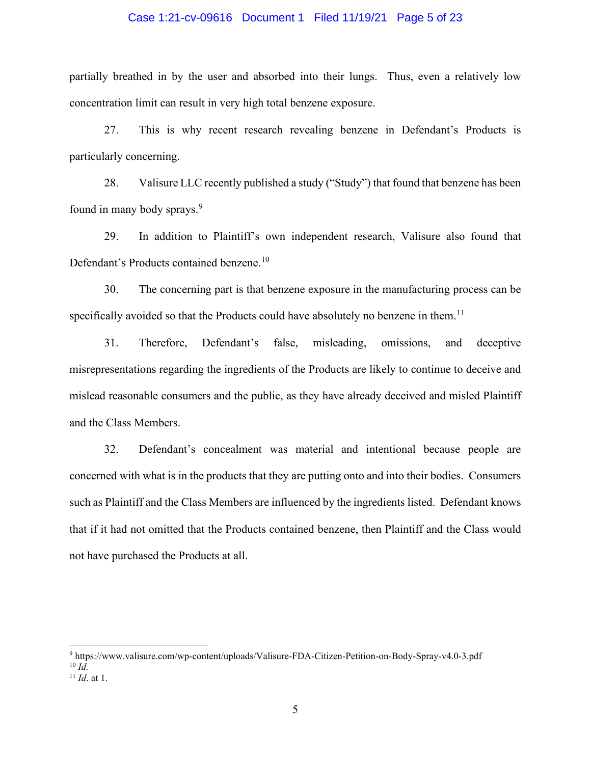#### Case 1:21-cv-09616 Document 1 Filed 11/19/21 Page 5 of 23

partially breathed in by the user and absorbed into their lungs. Thus, even a relatively low concentration limit can result in very high total benzene exposure.

27. This is why recent research revealing benzene in Defendant's Products is particularly concerning.

28. Valisure LLC recently published a study ("Study") that found that benzene has been found in many body sprays.<sup>[9](#page-4-0)</sup>

29. In addition to Plaintiff's own independent research, Valisure also found that Defendant's Products contained benzene.<sup>[10](#page-4-1)</sup>

30. The concerning part is that benzene exposure in the manufacturing process can be specifically avoided so that the Products could have absolutely no benzene in them.<sup>[11](#page-4-2)</sup>

31. Therefore, Defendant's false, misleading, omissions, and deceptive misrepresentations regarding the ingredients of the Products are likely to continue to deceive and mislead reasonable consumers and the public, as they have already deceived and misled Plaintiff and the Class Members.

32. Defendant's concealment was material and intentional because people are concerned with what is in the products that they are putting onto and into their bodies. Consumers such as Plaintiff and the Class Members are influenced by the ingredients listed. Defendant knows that if it had not omitted that the Products contained benzene, then Plaintiff and the Class would not have purchased the Products at all.

<span id="page-4-1"></span><span id="page-4-0"></span><sup>9</sup> https://www.valisure.com/wp-content/uploads/Valisure-FDA-Citizen-Petition-on-Body-Spray-v4.0-3.pdf  $10 \overrightarrow{Id}$ 

<span id="page-4-2"></span><sup>11</sup> *Id*. at 1.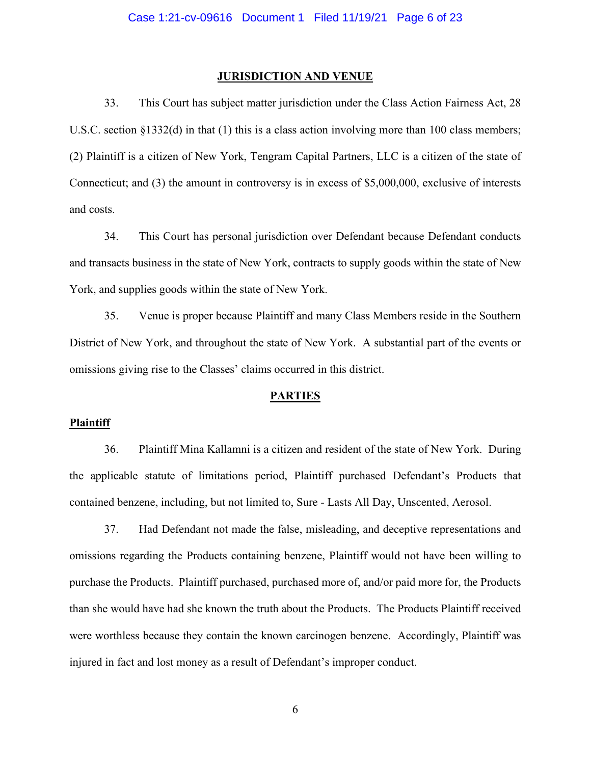#### **JURISDICTION AND VENUE**

33. This Court has subject matter jurisdiction under the Class Action Fairness Act, 28 U.S.C. section §1332(d) in that (1) this is a class action involving more than 100 class members; (2) Plaintiff is a citizen of New York, Tengram Capital Partners, LLC is a citizen of the state of Connecticut; and (3) the amount in controversy is in excess of \$5,000,000, exclusive of interests and costs.

34. This Court has personal jurisdiction over Defendant because Defendant conducts and transacts business in the state of New York, contracts to supply goods within the state of New York, and supplies goods within the state of New York.

35. Venue is proper because Plaintiff and many Class Members reside in the Southern District of New York, and throughout the state of New York. A substantial part of the events or omissions giving rise to the Classes' claims occurred in this district.

#### **PARTIES**

#### **Plaintiff**

36. Plaintiff Mina Kallamni is a citizen and resident of the state of New York. During the applicable statute of limitations period, Plaintiff purchased Defendant's Products that contained benzene, including, but not limited to, Sure - Lasts All Day, Unscented, Aerosol.

37. Had Defendant not made the false, misleading, and deceptive representations and omissions regarding the Products containing benzene, Plaintiff would not have been willing to purchase the Products. Plaintiff purchased, purchased more of, and/or paid more for, the Products than she would have had she known the truth about the Products. The Products Plaintiff received were worthless because they contain the known carcinogen benzene. Accordingly, Plaintiff was injured in fact and lost money as a result of Defendant's improper conduct.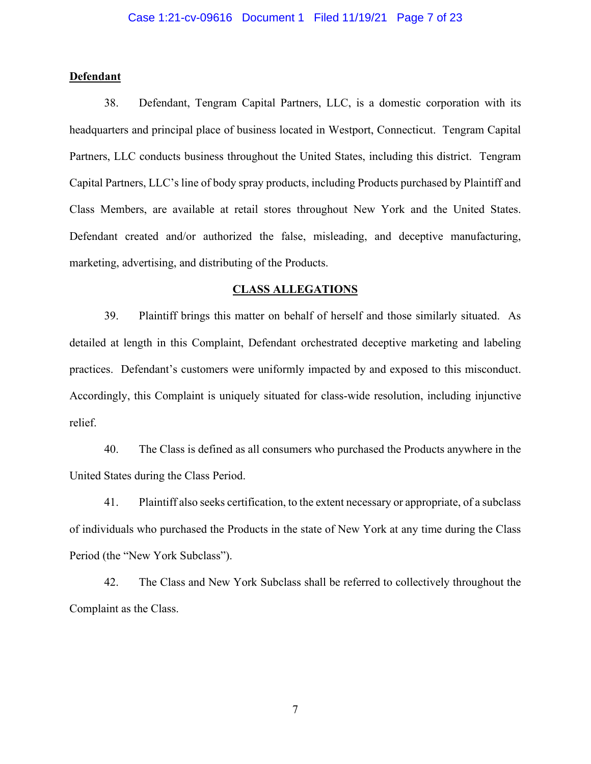## **Defendant**

38. Defendant, Tengram Capital Partners, LLC, is a domestic corporation with its headquarters and principal place of business located in Westport, Connecticut. Tengram Capital Partners, LLC conducts business throughout the United States, including this district. Tengram Capital Partners, LLC's line of body spray products, including Products purchased by Plaintiff and Class Members, are available at retail stores throughout New York and the United States. Defendant created and/or authorized the false, misleading, and deceptive manufacturing, marketing, advertising, and distributing of the Products.

#### **CLASS ALLEGATIONS**

39. Plaintiff brings this matter on behalf of herself and those similarly situated. As detailed at length in this Complaint, Defendant orchestrated deceptive marketing and labeling practices. Defendant's customers were uniformly impacted by and exposed to this misconduct. Accordingly, this Complaint is uniquely situated for class-wide resolution, including injunctive relief.

40. The Class is defined as all consumers who purchased the Products anywhere in the United States during the Class Period.

41. Plaintiff also seeks certification, to the extent necessary or appropriate, of a subclass of individuals who purchased the Products in the state of New York at any time during the Class Period (the "New York Subclass").

42. The Class and New York Subclass shall be referred to collectively throughout the Complaint as the Class.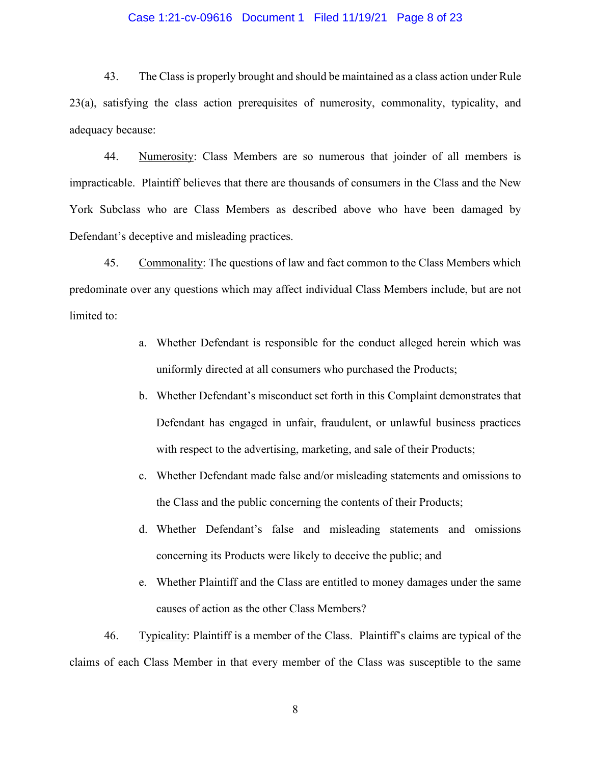### Case 1:21-cv-09616 Document 1 Filed 11/19/21 Page 8 of 23

43. The Class is properly brought and should be maintained as a class action under Rule 23(a), satisfying the class action prerequisites of numerosity, commonality, typicality, and adequacy because:

44. Numerosity: Class Members are so numerous that joinder of all members is impracticable. Plaintiff believes that there are thousands of consumers in the Class and the New York Subclass who are Class Members as described above who have been damaged by Defendant's deceptive and misleading practices.

45. Commonality: The questions of law and fact common to the Class Members which predominate over any questions which may affect individual Class Members include, but are not limited to:

- a. Whether Defendant is responsible for the conduct alleged herein which was uniformly directed at all consumers who purchased the Products;
- b. Whether Defendant's misconduct set forth in this Complaint demonstrates that Defendant has engaged in unfair, fraudulent, or unlawful business practices with respect to the advertising, marketing, and sale of their Products;
- c. Whether Defendant made false and/or misleading statements and omissions to the Class and the public concerning the contents of their Products;
- d. Whether Defendant's false and misleading statements and omissions concerning its Products were likely to deceive the public; and
- e. Whether Plaintiff and the Class are entitled to money damages under the same causes of action as the other Class Members?

46. Typicality: Plaintiff is a member of the Class. Plaintiff's claims are typical of the claims of each Class Member in that every member of the Class was susceptible to the same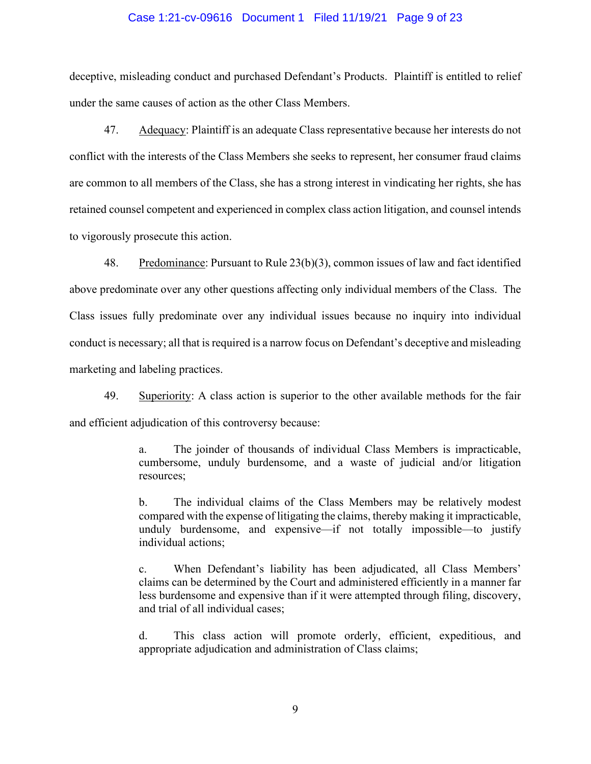#### Case 1:21-cv-09616 Document 1 Filed 11/19/21 Page 9 of 23

deceptive, misleading conduct and purchased Defendant's Products. Plaintiff is entitled to relief under the same causes of action as the other Class Members.

47. Adequacy: Plaintiff is an adequate Class representative because her interests do not conflict with the interests of the Class Members she seeks to represent, her consumer fraud claims are common to all members of the Class, she has a strong interest in vindicating her rights, she has retained counsel competent and experienced in complex class action litigation, and counsel intends to vigorously prosecute this action.

48. Predominance: Pursuant to Rule 23(b)(3), common issues of law and fact identified above predominate over any other questions affecting only individual members of the Class. The Class issues fully predominate over any individual issues because no inquiry into individual conduct is necessary; all that is required is a narrow focus on Defendant's deceptive and misleading marketing and labeling practices.

49. Superiority: A class action is superior to the other available methods for the fair and efficient adjudication of this controversy because:

> a. The joinder of thousands of individual Class Members is impracticable, cumbersome, unduly burdensome, and a waste of judicial and/or litigation resources;

> b. The individual claims of the Class Members may be relatively modest compared with the expense of litigating the claims, thereby making it impracticable, unduly burdensome, and expensive—if not totally impossible—to justify individual actions;

> c. When Defendant's liability has been adjudicated, all Class Members' claims can be determined by the Court and administered efficiently in a manner far less burdensome and expensive than if it were attempted through filing, discovery, and trial of all individual cases;

> d. This class action will promote orderly, efficient, expeditious, and appropriate adjudication and administration of Class claims;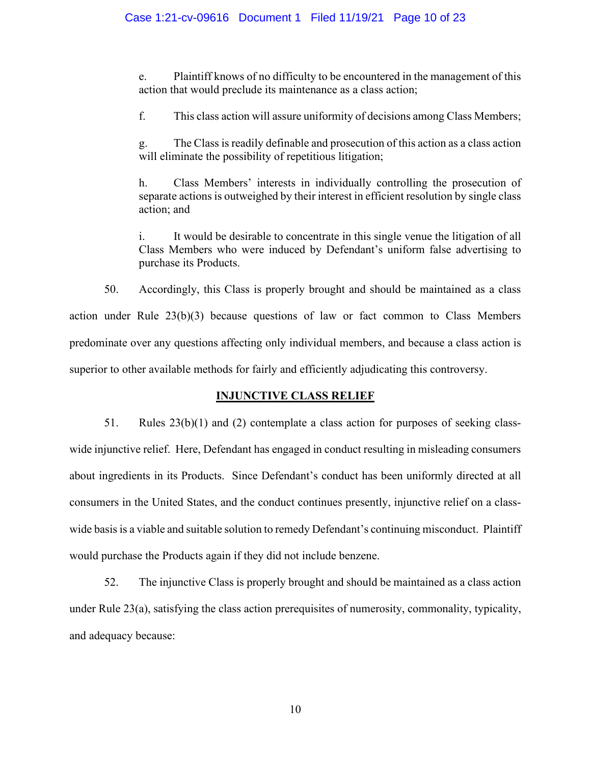e. Plaintiff knows of no difficulty to be encountered in the management of this action that would preclude its maintenance as a class action;

f. This class action will assure uniformity of decisions among Class Members;

g. The Class is readily definable and prosecution of this action as a class action will eliminate the possibility of repetitious litigation;

h. Class Members' interests in individually controlling the prosecution of separate actions is outweighed by their interest in efficient resolution by single class action; and

i. It would be desirable to concentrate in this single venue the litigation of all Class Members who were induced by Defendant's uniform false advertising to purchase its Products.

50. Accordingly, this Class is properly brought and should be maintained as a class action under Rule 23(b)(3) because questions of law or fact common to Class Members predominate over any questions affecting only individual members, and because a class action is superior to other available methods for fairly and efficiently adjudicating this controversy.

## **INJUNCTIVE CLASS RELIEF**

51. Rules  $23(b)(1)$  and (2) contemplate a class action for purposes of seeking classwide injunctive relief. Here, Defendant has engaged in conduct resulting in misleading consumers about ingredients in its Products. Since Defendant's conduct has been uniformly directed at all consumers in the United States, and the conduct continues presently, injunctive relief on a classwide basis is a viable and suitable solution to remedy Defendant's continuing misconduct. Plaintiff would purchase the Products again if they did not include benzene.

52. The injunctive Class is properly brought and should be maintained as a class action under Rule 23(a), satisfying the class action prerequisites of numerosity, commonality, typicality, and adequacy because: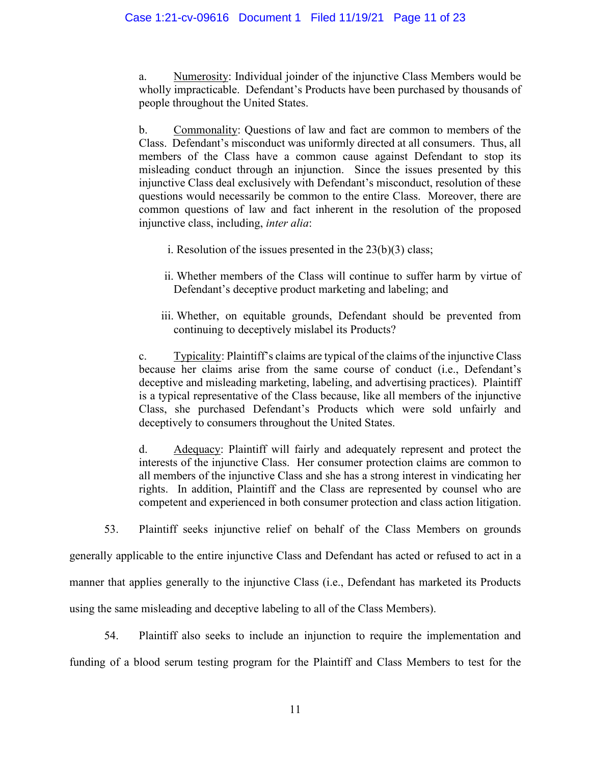a. Numerosity: Individual joinder of the injunctive Class Members would be wholly impracticable. Defendant's Products have been purchased by thousands of people throughout the United States.

b. Commonality: Questions of law and fact are common to members of the Class. Defendant's misconduct was uniformly directed at all consumers. Thus, all members of the Class have a common cause against Defendant to stop its misleading conduct through an injunction. Since the issues presented by this injunctive Class deal exclusively with Defendant's misconduct, resolution of these questions would necessarily be common to the entire Class. Moreover, there are common questions of law and fact inherent in the resolution of the proposed injunctive class, including, *inter alia*:

- i. Resolution of the issues presented in the  $23(b)(3)$  class;
- ii. Whether members of the Class will continue to suffer harm by virtue of Defendant's deceptive product marketing and labeling; and
- iii. Whether, on equitable grounds, Defendant should be prevented from continuing to deceptively mislabel its Products?

c. Typicality: Plaintiff's claims are typical of the claims of the injunctive Class because her claims arise from the same course of conduct (i.e., Defendant's deceptive and misleading marketing, labeling, and advertising practices). Plaintiff is a typical representative of the Class because, like all members of the injunctive Class, she purchased Defendant's Products which were sold unfairly and deceptively to consumers throughout the United States.

d. Adequacy: Plaintiff will fairly and adequately represent and protect the interests of the injunctive Class. Her consumer protection claims are common to all members of the injunctive Class and she has a strong interest in vindicating her rights. In addition, Plaintiff and the Class are represented by counsel who are competent and experienced in both consumer protection and class action litigation.

53. Plaintiff seeks injunctive relief on behalf of the Class Members on grounds

generally applicable to the entire injunctive Class and Defendant has acted or refused to act in a manner that applies generally to the injunctive Class (i.e., Defendant has marketed its Products using the same misleading and deceptive labeling to all of the Class Members).

54. Plaintiff also seeks to include an injunction to require the implementation and funding of a blood serum testing program for the Plaintiff and Class Members to test for the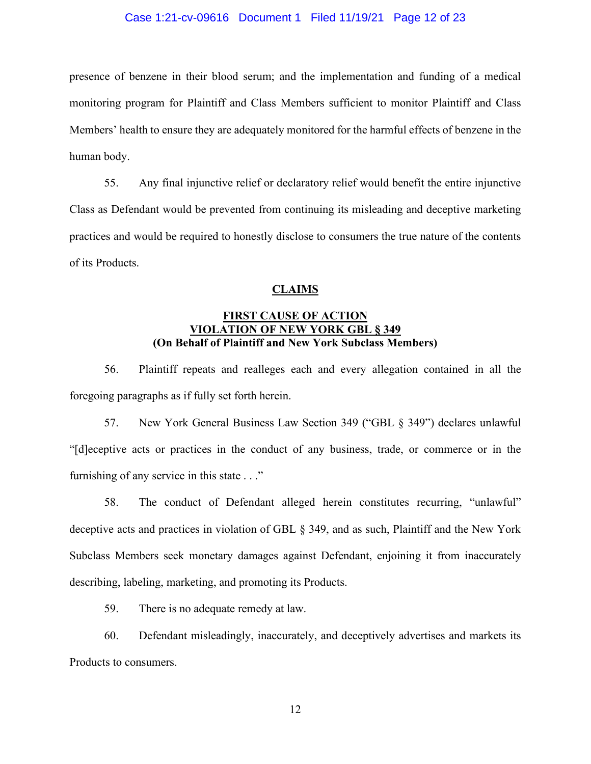#### Case 1:21-cv-09616 Document 1 Filed 11/19/21 Page 12 of 23

presence of benzene in their blood serum; and the implementation and funding of a medical monitoring program for Plaintiff and Class Members sufficient to monitor Plaintiff and Class Members' health to ensure they are adequately monitored for the harmful effects of benzene in the human body.

55. Any final injunctive relief or declaratory relief would benefit the entire injunctive Class as Defendant would be prevented from continuing its misleading and deceptive marketing practices and would be required to honestly disclose to consumers the true nature of the contents of its Products.

## **CLAIMS**

# **FIRST CAUSE OF ACTION VIOLATION OF NEW YORK GBL § 349 (On Behalf of Plaintiff and New York Subclass Members)**

56. Plaintiff repeats and realleges each and every allegation contained in all the foregoing paragraphs as if fully set forth herein.

57. New York General Business Law Section 349 ("GBL § 349") declares unlawful "[d]eceptive acts or practices in the conduct of any business, trade, or commerce or in the furnishing of any service in this state . . ."

58. The conduct of Defendant alleged herein constitutes recurring, "unlawful" deceptive acts and practices in violation of GBL § 349, and as such, Plaintiff and the New York Subclass Members seek monetary damages against Defendant, enjoining it from inaccurately describing, labeling, marketing, and promoting its Products.

59. There is no adequate remedy at law.

60. Defendant misleadingly, inaccurately, and deceptively advertises and markets its Products to consumers.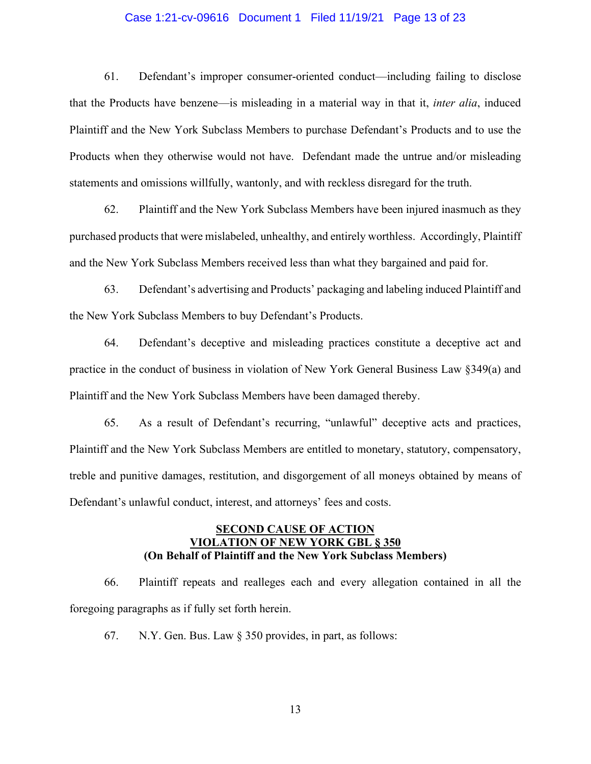## Case 1:21-cv-09616 Document 1 Filed 11/19/21 Page 13 of 23

61. Defendant's improper consumer-oriented conduct—including failing to disclose that the Products have benzene—is misleading in a material way in that it, *inter alia*, induced Plaintiff and the New York Subclass Members to purchase Defendant's Products and to use the Products when they otherwise would not have. Defendant made the untrue and/or misleading statements and omissions willfully, wantonly, and with reckless disregard for the truth.

62. Plaintiff and the New York Subclass Members have been injured inasmuch as they purchased products that were mislabeled, unhealthy, and entirely worthless. Accordingly, Plaintiff and the New York Subclass Members received less than what they bargained and paid for.

63. Defendant's advertising and Products' packaging and labeling induced Plaintiff and the New York Subclass Members to buy Defendant's Products.

64. Defendant's deceptive and misleading practices constitute a deceptive act and practice in the conduct of business in violation of New York General Business Law §349(a) and Plaintiff and the New York Subclass Members have been damaged thereby.

65. As a result of Defendant's recurring, "unlawful" deceptive acts and practices, Plaintiff and the New York Subclass Members are entitled to monetary, statutory, compensatory, treble and punitive damages, restitution, and disgorgement of all moneys obtained by means of Defendant's unlawful conduct, interest, and attorneys' fees and costs.

# **SECOND CAUSE OF ACTION VIOLATION OF NEW YORK GBL § 350 (On Behalf of Plaintiff and the New York Subclass Members)**

66. Plaintiff repeats and realleges each and every allegation contained in all the foregoing paragraphs as if fully set forth herein.

67. N.Y. Gen. Bus. Law § 350 provides, in part, as follows: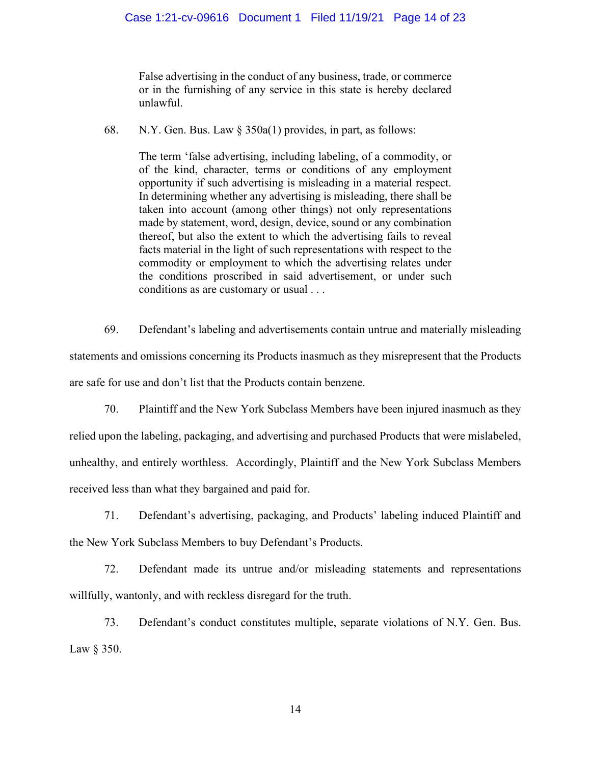False advertising in the conduct of any business, trade, or commerce or in the furnishing of any service in this state is hereby declared unlawful.

68. N.Y. Gen. Bus. Law § 350a(1) provides, in part, as follows:

The term 'false advertising, including labeling, of a commodity, or of the kind, character, terms or conditions of any employment opportunity if such advertising is misleading in a material respect. In determining whether any advertising is misleading, there shall be taken into account (among other things) not only representations made by statement, word, design, device, sound or any combination thereof, but also the extent to which the advertising fails to reveal facts material in the light of such representations with respect to the commodity or employment to which the advertising relates under the conditions proscribed in said advertisement, or under such conditions as are customary or usual . . .

69. Defendant's labeling and advertisements contain untrue and materially misleading statements and omissions concerning its Products inasmuch as they misrepresent that the Products are safe for use and don't list that the Products contain benzene.

70. Plaintiff and the New York Subclass Members have been injured inasmuch as they relied upon the labeling, packaging, and advertising and purchased Products that were mislabeled, unhealthy, and entirely worthless. Accordingly, Plaintiff and the New York Subclass Members received less than what they bargained and paid for.

71. Defendant's advertising, packaging, and Products' labeling induced Plaintiff and the New York Subclass Members to buy Defendant's Products.

72. Defendant made its untrue and/or misleading statements and representations willfully, wantonly, and with reckless disregard for the truth.

73. Defendant's conduct constitutes multiple, separate violations of N.Y. Gen. Bus. Law § 350.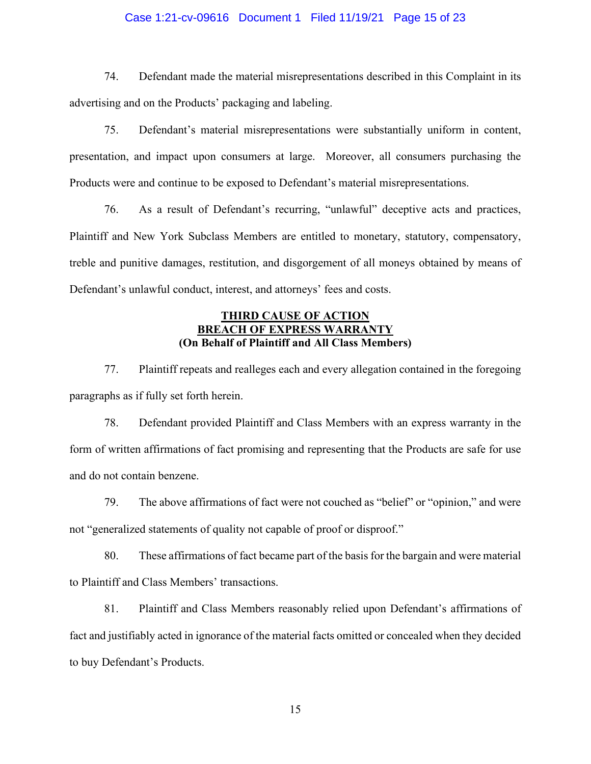## Case 1:21-cv-09616 Document 1 Filed 11/19/21 Page 15 of 23

74. Defendant made the material misrepresentations described in this Complaint in its advertising and on the Products' packaging and labeling.

75. Defendant's material misrepresentations were substantially uniform in content, presentation, and impact upon consumers at large. Moreover, all consumers purchasing the Products were and continue to be exposed to Defendant's material misrepresentations.

76. As a result of Defendant's recurring, "unlawful" deceptive acts and practices, Plaintiff and New York Subclass Members are entitled to monetary, statutory, compensatory, treble and punitive damages, restitution, and disgorgement of all moneys obtained by means of Defendant's unlawful conduct, interest, and attorneys' fees and costs.

# **THIRD CAUSE OF ACTION BREACH OF EXPRESS WARRANT (On Behalf of Plaintiff and All Class Members)**

77. Plaintiff repeats and realleges each and every allegation contained in the foregoing paragraphs as if fully set forth herein.

78. Defendant provided Plaintiff and Class Members with an express warranty in the form of written affirmations of fact promising and representing that the Products are safe for use and do not contain benzene.

79. The above affirmations of fact were not couched as "belief" or "opinion," and were not "generalized statements of quality not capable of proof or disproof."

80. These affirmations of fact became part of the basis for the bargain and were material to Plaintiff and Class Members' transactions.

81. Plaintiff and Class Members reasonably relied upon Defendant's affirmations of fact and justifiably acted in ignorance of the material facts omitted or concealed when they decided to buy Defendant's Products.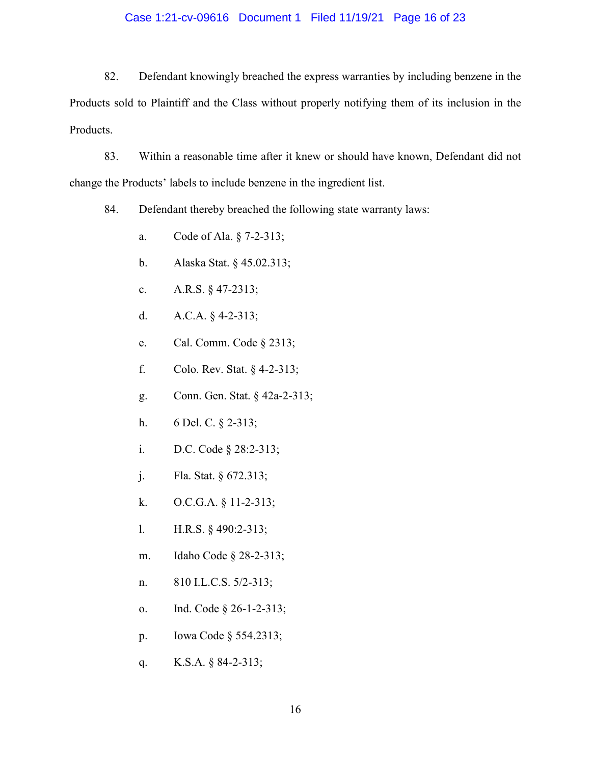## Case 1:21-cv-09616 Document 1 Filed 11/19/21 Page 16 of 23

82. Defendant knowingly breached the express warranties by including benzene in the Products sold to Plaintiff and the Class without properly notifying them of its inclusion in the Products.

83. Within a reasonable time after it knew or should have known, Defendant did not change the Products' labels to include benzene in the ingredient list.

84. Defendant thereby breached the following state warranty laws:

- a. Code of Ala. § 7-2-313;
- b. Alaska Stat. § 45.02.313;
- c. A.R.S. § 47-2313;
- d. A.C.A. § 4-2-313;
- e. Cal. Comm. Code § 2313;
- f. Colo. Rev. Stat. § 4-2-313;
- g. Conn. Gen. Stat. § 42a-2-313;
- h. 6 Del. C. § 2-313;
- i. D.C. Code § 28:2-313;
- j. Fla. Stat. § 672.313;
- k. O.C.G.A. § 11-2-313;
- l. H.R.S. § 490:2-313;
- m. Idaho Code § 28-2-313;
- n. 810 I.L.C.S. 5/2-313;
- o. Ind. Code § 26-1-2-313;
- p. Iowa Code § 554.2313;
- q. K.S.A. § 84-2-313;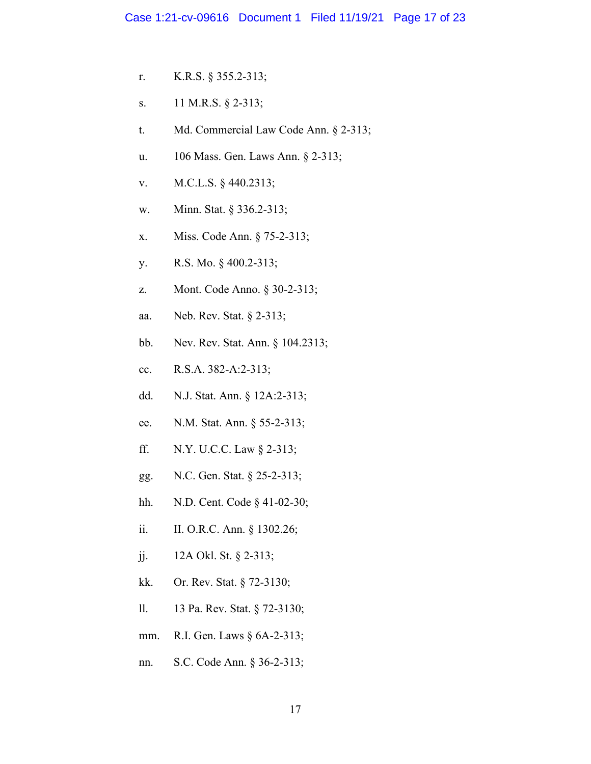- r. K.R.S. § 355.2-313;
- s. 11 M.R.S. § 2-313;
- t. Md. Commercial Law Code Ann. § 2-313;
- u. 106 Mass. Gen. Laws Ann. § 2-313;
- v. M.C.L.S. § 440.2313;
- w. Minn. Stat. § 336.2-313;
- x. Miss. Code Ann. § 75-2-313;
- y. R.S. Mo. § 400.2-313;
- z. Mont. Code Anno. § 30-2-313;
- aa. Neb. Rev. Stat. § 2-313;
- bb. Nev. Rev. Stat. Ann. § 104.2313;
- cc. R.S.A. 382-A:2-313;
- dd. N.J. Stat. Ann. § 12A:2-313;
- ee. N.M. Stat. Ann. § 55-2-313;
- ff. N.Y. U.C.C. Law § 2-313;
- gg. N.C. Gen. Stat. § 25-2-313;
- hh. N.D. Cent. Code § 41-02-30;
- ii. II. O.R.C. Ann. § 1302.26;
- jj. 12A Okl. St. § 2-313;
- kk. Or. Rev. Stat. § 72-3130;
- ll. 13 Pa. Rev. Stat. § 72-3130;
- mm. R.I. Gen. Laws § 6A-2-313;
- nn. S.C. Code Ann. § 36-2-313;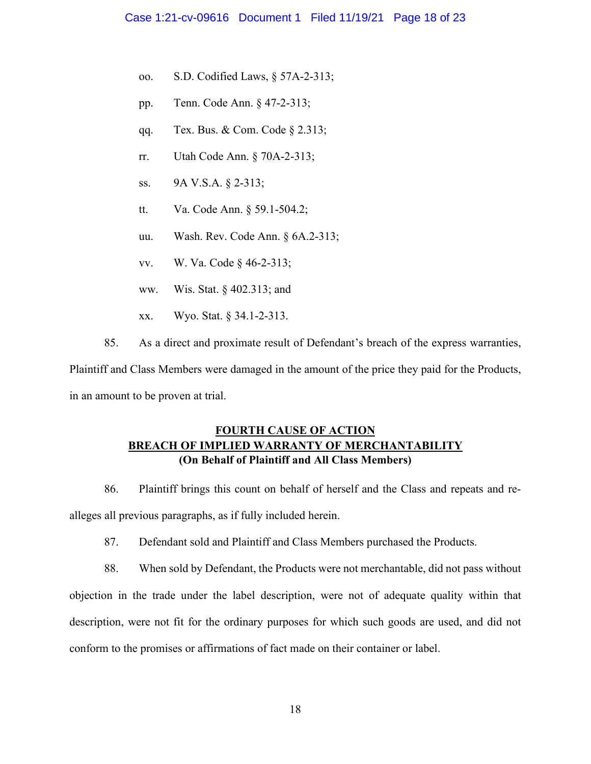- oo. S.D. Codified Laws, § 57A-2-313;
- pp. Tenn. Code Ann. § 47-2-313;
- qq. Tex. Bus. & Com. Code § 2.313;
- rr. Utah Code Ann. § 70A-2-313;
- ss. 9A V.S.A. § 2-313;
- tt. Va. Code Ann. § 59.1-504.2;
- uu. Wash. Rev. Code Ann. § 6A.2-313;
- vv. W. Va. Code § 46-2-313;
- ww. Wis. Stat. § 402.313; and
- xx. Wyo. Stat. § 34.1-2-313.
- 85. As a direct and proximate result of Defendant's breach of the express warranties,

Plaintiff and Class Members were damaged in the amount of the price they paid for the Products, in an amount to be proven at trial.

# **FOURTH CAUSE OF ACTION BREACH OF IMPLIED WARRANTY OF MERCHANTABILITY (On Behalf of Plaintiff and All Class Members)**

86. Plaintiff brings this count on behalf of herself and the Class and repeats and realleges all previous paragraphs, as if fully included herein.

87. Defendant sold and Plaintiff and Class Members purchased the Products.

88. When sold by Defendant, the Products were not merchantable, did not pass without objection in the trade under the label description, were not of adequate quality within that description, were not fit for the ordinary purposes for which such goods are used, and did not conform to the promises or affirmations of fact made on their container or label.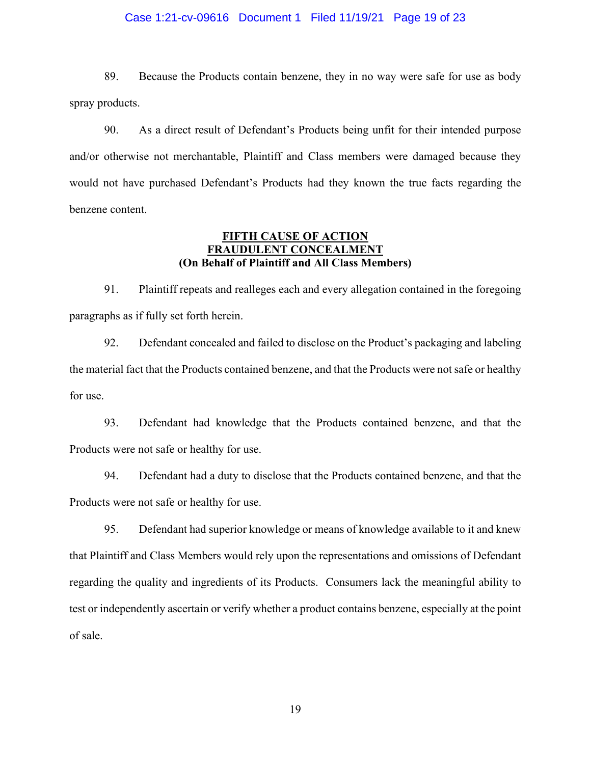### Case 1:21-cv-09616 Document 1 Filed 11/19/21 Page 19 of 23

89. Because the Products contain benzene, they in no way were safe for use as body spray products.

90. As a direct result of Defendant's Products being unfit for their intended purpose and/or otherwise not merchantable, Plaintiff and Class members were damaged because they would not have purchased Defendant's Products had they known the true facts regarding the benzene content.

# **FIFTH CAUSE OF ACTION FRAUDULENT CONCEALMENT (On Behalf of Plaintiff and All Class Members)**

91. Plaintiff repeats and realleges each and every allegation contained in the foregoing paragraphs as if fully set forth herein.

92. Defendant concealed and failed to disclose on the Product's packaging and labeling the material fact that the Products contained benzene, and that the Products were not safe or healthy for use.

93. Defendant had knowledge that the Products contained benzene, and that the Products were not safe or healthy for use.

94. Defendant had a duty to disclose that the Products contained benzene, and that the Products were not safe or healthy for use.

95. Defendant had superior knowledge or means of knowledge available to it and knew that Plaintiff and Class Members would rely upon the representations and omissions of Defendant regarding the quality and ingredients of its Products. Consumers lack the meaningful ability to test or independently ascertain or verify whether a product contains benzene, especially at the point of sale.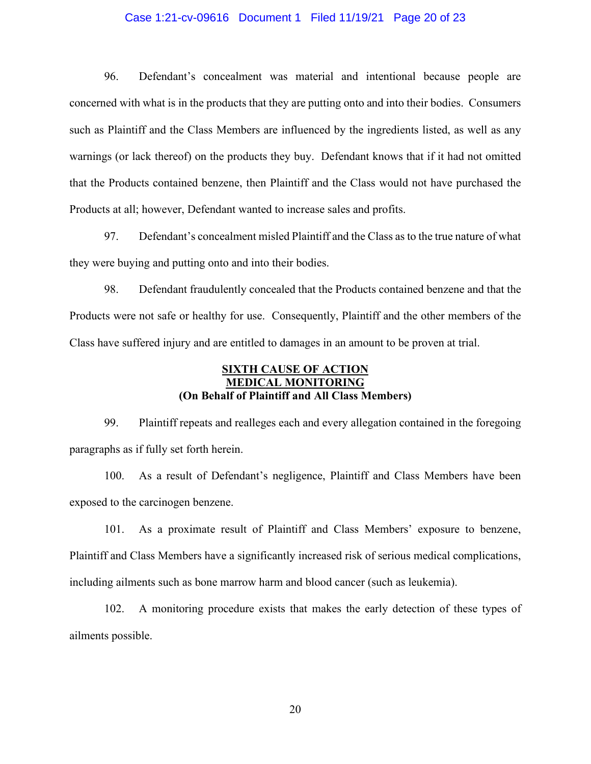### Case 1:21-cv-09616 Document 1 Filed 11/19/21 Page 20 of 23

96. Defendant's concealment was material and intentional because people are concerned with what is in the products that they are putting onto and into their bodies. Consumers such as Plaintiff and the Class Members are influenced by the ingredients listed, as well as any warnings (or lack thereof) on the products they buy. Defendant knows that if it had not omitted that the Products contained benzene, then Plaintiff and the Class would not have purchased the Products at all; however, Defendant wanted to increase sales and profits.

97. Defendant's concealment misled Plaintiff and the Class as to the true nature of what they were buying and putting onto and into their bodies.

98. Defendant fraudulently concealed that the Products contained benzene and that the Products were not safe or healthy for use. Consequently, Plaintiff and the other members of the Class have suffered injury and are entitled to damages in an amount to be proven at trial.

# **SIXTH CAUSE OF ACTION MEDICAL MONITORING (On Behalf of Plaintiff and All Class Members)**

99. Plaintiff repeats and realleges each and every allegation contained in the foregoing paragraphs as if fully set forth herein.

100. As a result of Defendant's negligence, Plaintiff and Class Members have been exposed to the carcinogen benzene.

101. As a proximate result of Plaintiff and Class Members' exposure to benzene, Plaintiff and Class Members have a significantly increased risk of serious medical complications, including ailments such as bone marrow harm and blood cancer (such as leukemia).

102. A monitoring procedure exists that makes the early detection of these types of ailments possible.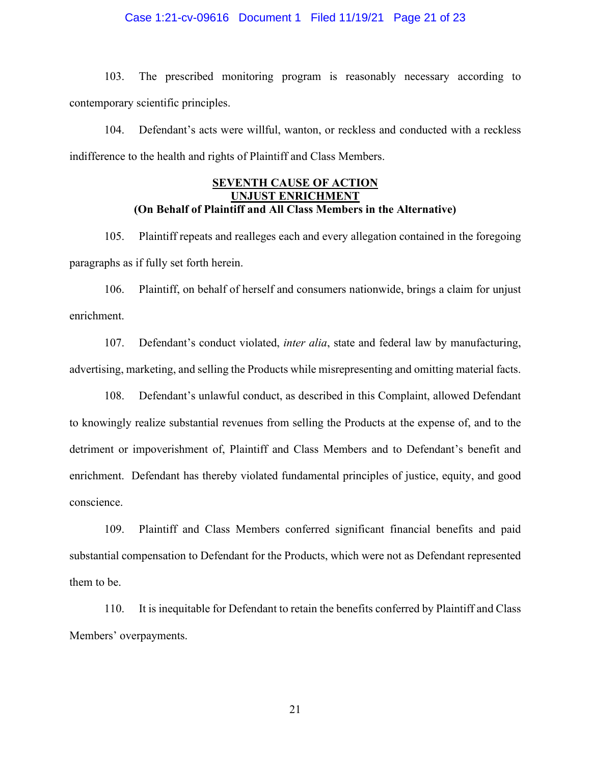### Case 1:21-cv-09616 Document 1 Filed 11/19/21 Page 21 of 23

103. The prescribed monitoring program is reasonably necessary according to contemporary scientific principles.

104. Defendant's acts were willful, wanton, or reckless and conducted with a reckless indifference to the health and rights of Plaintiff and Class Members.

# **SEVENTH CAUSE OF ACTION UNJUST ENRICHMENT (On Behalf of Plaintiff and All Class Members in the Alternative)**

105. Plaintiff repeats and realleges each and every allegation contained in the foregoing paragraphs as if fully set forth herein.

106. Plaintiff, on behalf of herself and consumers nationwide, brings a claim for unjust enrichment.

107. Defendant's conduct violated, *inter alia*, state and federal law by manufacturing, advertising, marketing, and selling the Products while misrepresenting and omitting material facts.

108. Defendant's unlawful conduct, as described in this Complaint, allowed Defendant to knowingly realize substantial revenues from selling the Products at the expense of, and to the detriment or impoverishment of, Plaintiff and Class Members and to Defendant's benefit and enrichment. Defendant has thereby violated fundamental principles of justice, equity, and good conscience.

109. Plaintiff and Class Members conferred significant financial benefits and paid substantial compensation to Defendant for the Products, which were not as Defendant represented them to be.

110. It is inequitable for Defendant to retain the benefits conferred by Plaintiff and Class Members' overpayments.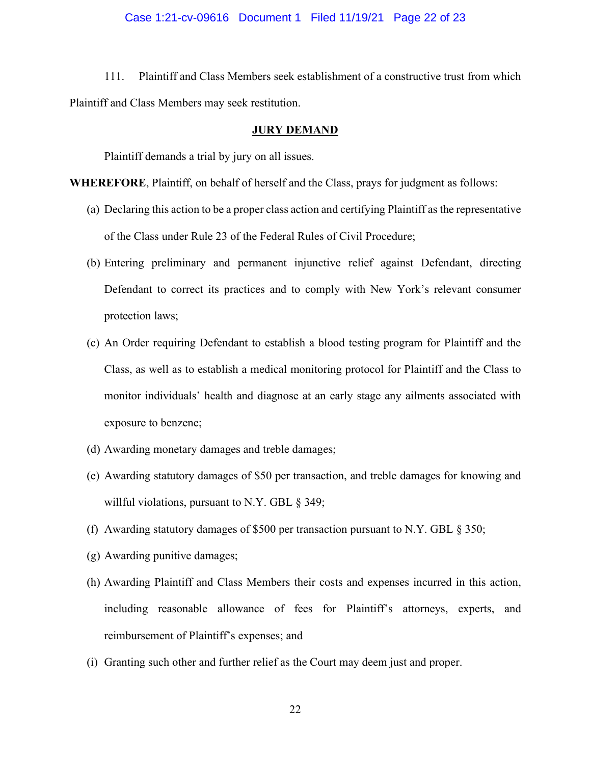#### Case 1:21-cv-09616 Document 1 Filed 11/19/21 Page 22 of 23

111. Plaintiff and Class Members seek establishment of a constructive trust from which Plaintiff and Class Members may seek restitution.

#### **JURY DEMAND**

Plaintiff demands a trial by jury on all issues.

**WHEREFORE**, Plaintiff, on behalf of herself and the Class, prays for judgment as follows:

- (a) Declaring this action to be a proper class action and certifying Plaintiff as the representative of the Class under Rule 23 of the Federal Rules of Civil Procedure;
- (b) Entering preliminary and permanent injunctive relief against Defendant, directing Defendant to correct its practices and to comply with New York's relevant consumer protection laws;
- (c) An Order requiring Defendant to establish a blood testing program for Plaintiff and the Class, as well as to establish a medical monitoring protocol for Plaintiff and the Class to monitor individuals' health and diagnose at an early stage any ailments associated with exposure to benzene;
- (d) Awarding monetary damages and treble damages;
- (e) Awarding statutory damages of \$50 per transaction, and treble damages for knowing and willful violations, pursuant to N.Y. GBL § 349;
- (f) Awarding statutory damages of \$500 per transaction pursuant to N.Y. GBL § 350;
- (g) Awarding punitive damages;
- (h) Awarding Plaintiff and Class Members their costs and expenses incurred in this action, including reasonable allowance of fees for Plaintiff's attorneys, experts, and reimbursement of Plaintiff's expenses; and
- (i) Granting such other and further relief as the Court may deem just and proper.